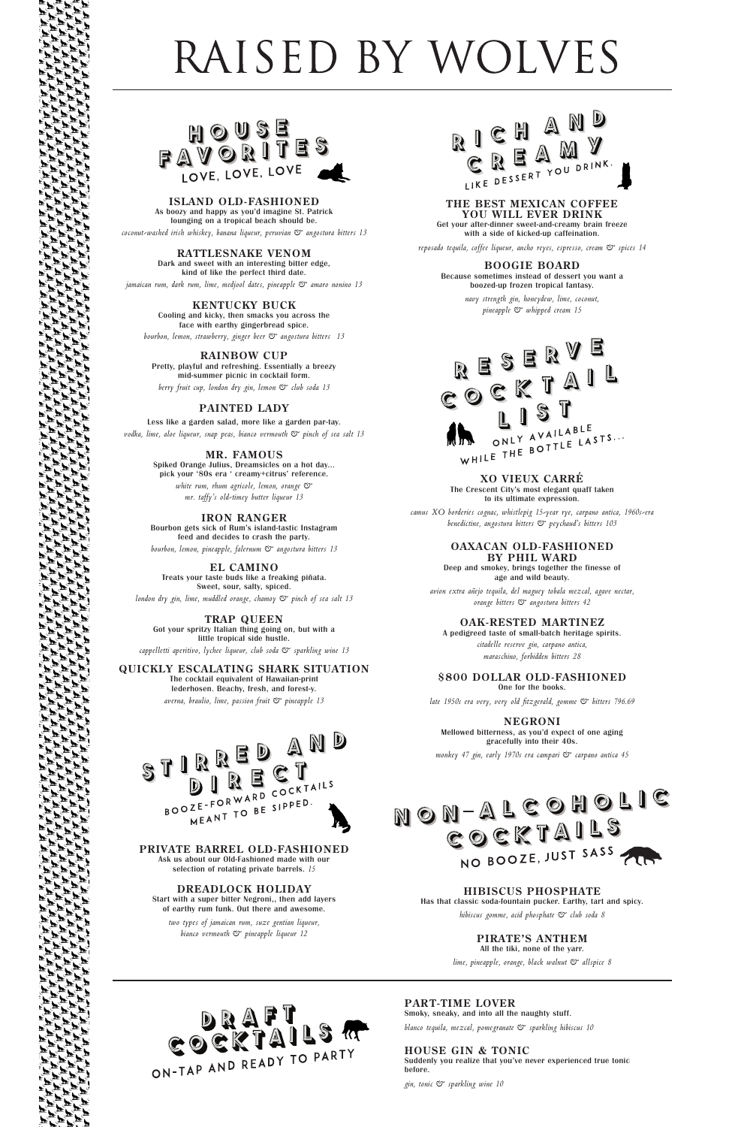# RAISED BY WOLVES



**ISLAND OLD-FASHIONED**

As boozy and happy as you'd imagine St. Patrick lounging on a tropical beach should be. *coconut-washed irish whiskey, banana liqueur, peruvian & angostura bitters 13*

> **RATTLESNAKE VENOM** Dark and sweet with an interesting bitter edge, kind of like the perfect third date.

*jamaican rum, dark rum, lime, medjool dates, pineapple & amaro nonino 13*

**KENTUCKY BUCK** Cooling and kicky, then smacks you across the face with earthy gingerbread spice.

*bourbon, lemon, strawberry, ginger beer & angostura bitters 13*

**RAINBOW CUP** Pretty, playful and refreshing. Essentially a breezy mid-summer picnic in cocktail form. *berry fruit cup, london dry gin, lemon & club soda 13*

Got your spritzy Italian thing going on, but with a little tropical side hustle. cappelletti aperitivo, lychee liqueur, club soda & sparkling wine 13

## **PAINTED LADY**

Less like a garden salad, more like a garden par-tay. *vodka, lime, aloe liqueur, snap peas, bianco vermouth & pinch of sea salt 13*

## **MR. FAMOUS**

Spiked Orange Julius, Dreamsicles on a hot day... pick your '80s era ' creamy+citrus' reference. *white rum, rhum agricole, lemon, orange & mr. taffy's old-timey butter liqueur 13*

### **IRON RANGER**

Bourbon gets sick of Rum's island-tastic Instagram feed and decides to crash the party. *bourbon, lemon, pineapple, falernum & angostura bitters 13*

**EL CAMINO** 

Treats your taste buds like a freaking piñata. Sweet, sour, salty, spiced.

*london dry gin, lime, muddled orange, chamoy & pinch of sea salt 13*

# **TRAP QUEEN**

**QUICKLY ESCALATING SHARK SITUATION** The cocktail equivalent of Hawaiian-print lederhosen. Beachy, fresh, and forest-y. *averna, braulio, lime, passion fruit & pineapple 13*





# **PRIVATE BARREL OLD-FASHIONED**

Ask us about our Old-Fashioned made with our selection of rotating private barrels. *15*

# **DREADLOCK HOLIDAY**

Start with a super bitter Negroni,, then add layers of earthy rum funk. Out there and awesome.

*two types of jamaican rum, suze gentian liqueur, bianco vermouth & pineapple liqueur 12*

> **PART-TIME LOVER** Smoky, sneaky, and into all the naughty stuff.

*blanco tequila, mezcal, pomegranate & sparkling hibiscus 10*

### **HOUSE GIN & TONIC** Suddenly you realize that you've never experienced true tonic before.

*gin, tonic & sparkling wine 10*

## **THE BEST MEXICAN COFFEE YOU WILL EVER DRINK**

Get your after-dinner sweet-and-creamy brain freeze with a side of kicked-up caffeination.

*reposado tequila, coffee liqueur, ancho reyes, espresso, cream & spices 14*

**BOOGIE BOARD** Because sometimes instead of dessert you want a boozed-up frozen tropical fantasy.

> *navy strength gin, honeydew, lime, coconut, pineapple & whipped cream 15*



### **XO VIEUX CARRÉ**

The Crescent City's most elegant quaff taken to its ultimate expression.

*camus XO borderies cognac, whistlepig 15-year rye, carpano antica, 1960s-era benedictine, angostura bitters & peychaud's bitters 103*

### **OAXACAN OLD-FASHIONED BY PHIL WARD**

Deep and smokey, brings together the finesse of age and wild beauty.

*avion extra añejo tequila, del maguey tobala mezcal, agave nectar, orange bitters & angostura bitters 42*

## **OAK-RESTED MARTINEZ**

A pedigreed taste of small-batch heritage spirits. *citadelle reserve gin, carpano antica, maraschino, forbidden bitters 28*

### **\$800 DOLLAR OLD-FASHIONED** One for the books.

*late 1950s era very, very old fitzgerald, gomme & bitters 796.69*

**NEGRONI** Mellowed bitterness, as you'd expect of one aging gracefully into their 40s.

*monkey 47 gin, early 1970s era campari & carpano antica 45*





# **HIBISCUS PHOSPHATE**

Has that classic soda-fountain pucker. Earthy, tart and spicy.

*hibiscus gomme, acid phosphate & club soda 8*

# **PIRATE'S ANTHEM**

All the tiki, none of the yarr.

*lime, pineapple, orange, black walnut & allspice 8*